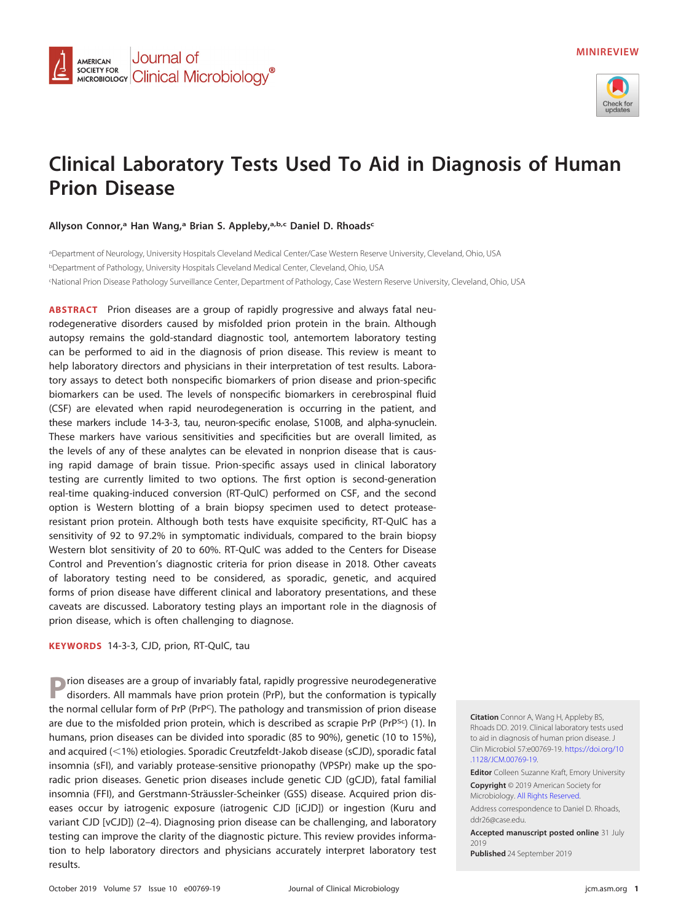

# **Clinical Laboratory Tests Used To Aid in Diagnosis of Human Prion Disease**

**Allyson Connor,a Han Wang,a Brian S. Appleby,a,b,c Daniel D. Rhoadsc**

Journal of

**SOCIETY FOR COLORED CONDUCTS ON A CONTROL CONTROL** 

**AMERICAN** 

**SOCIETY FOR** 

a Department of Neurology, University Hospitals Cleveland Medical Center/Case Western Reserve University, Cleveland, Ohio, USA <sup>b</sup>Department of Pathology, University Hospitals Cleveland Medical Center, Cleveland, Ohio, USA c National Prion Disease Pathology Surveillance Center, Department of Pathology, Case Western Reserve University, Cleveland, Ohio, USA

**ABSTRACT** Prion diseases are a group of rapidly progressive and always fatal neurodegenerative disorders caused by misfolded prion protein in the brain. Although autopsy remains the gold-standard diagnostic tool, antemortem laboratory testing can be performed to aid in the diagnosis of prion disease. This review is meant to help laboratory directors and physicians in their interpretation of test results. Laboratory assays to detect both nonspecific biomarkers of prion disease and prion-specific biomarkers can be used. The levels of nonspecific biomarkers in cerebrospinal fluid (CSF) are elevated when rapid neurodegeneration is occurring in the patient, and these markers include 14-3-3, tau, neuron-specific enolase, S100B, and alpha-synuclein. These markers have various sensitivities and specificities but are overall limited, as the levels of any of these analytes can be elevated in nonprion disease that is causing rapid damage of brain tissue. Prion-specific assays used in clinical laboratory testing are currently limited to two options. The first option is second-generation real-time quaking-induced conversion (RT-QuIC) performed on CSF, and the second option is Western blotting of a brain biopsy specimen used to detect proteaseresistant prion protein. Although both tests have exquisite specificity, RT-QuIC has a sensitivity of 92 to 97.2% in symptomatic individuals, compared to the brain biopsy Western blot sensitivity of 20 to 60%. RT-QuIC was added to the Centers for Disease Control and Prevention's diagnostic criteria for prion disease in 2018. Other caveats of laboratory testing need to be considered, as sporadic, genetic, and acquired forms of prion disease have different clinical and laboratory presentations, and these caveats are discussed. Laboratory testing plays an important role in the diagnosis of prion disease, which is often challenging to diagnose.

**KEYWORDS** 14-3-3, CJD, prion, RT-QuIC, tau

**P**rion diseases are a group of invariably fatal, rapidly progressive neurodegenerative disorders. All mammals have prion protein (PrP), but the conformation is typically the normal cellular form of PrP (PrP<sup>C</sup>). The pathology and transmission of prion disease are due to the misfolded prion protein, which is described as scrapie PrP (PrP<sup>Sc</sup>) [\(1\)](#page-9-0). In humans, prion diseases can be divided into sporadic (85 to 90%), genetic (10 to 15%), and acquired (<1%) etiologies. Sporadic Creutzfeldt-Jakob disease (sCJD), sporadic fatal insomnia (sFI), and variably protease-sensitive prionopathy (VPSPr) make up the sporadic prion diseases. Genetic prion diseases include genetic CJD (gCJD), fatal familial insomnia (FFI), and Gerstmann-Sträussler-Scheinker (GSS) disease. Acquired prion diseases occur by iatrogenic exposure (iatrogenic CJD [iCJD]) or ingestion (Kuru and variant CJD [vCJD]) [\(2](#page-9-1)[–](#page-9-2)[4\)](#page-9-3). Diagnosing prion disease can be challenging, and laboratory testing can improve the clarity of the diagnostic picture. This review provides information to help laboratory directors and physicians accurately interpret laboratory test results.

**Citation** Connor A, Wang H, Appleby BS, Rhoads DD. 2019. Clinical laboratory tests used to aid in diagnosis of human prion disease. J Clin Microbiol 57:e00769-19. [https://doi.org/10](https://doi.org/10.1128/JCM.00769-19) [.1128/JCM.00769-19.](https://doi.org/10.1128/JCM.00769-19)

**Editor** Colleen Suzanne Kraft, Emory University **Copyright** © 2019 American Society for

Microbiology. [All Rights Reserved.](https://doi.org/10.1128/ASMCopyrightv2)

Address correspondence to Daniel D. Rhoads, [ddr26@case.edu.](mailto:ddr26@case.edu)

**Accepted manuscript posted online** 31 July 2019

**Published** 24 September 2019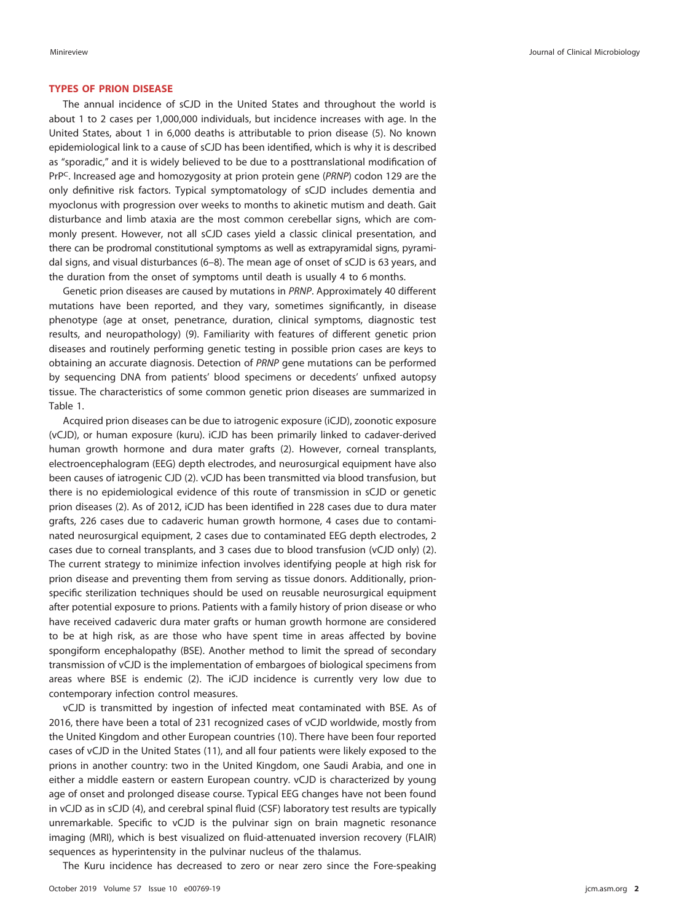## **TYPES OF PRION DISEASE**

The annual incidence of sCJD in the United States and throughout the world is about 1 to 2 cases per 1,000,000 individuals, but incidence increases with age. In the United States, about 1 in 6,000 deaths is attributable to prion disease [\(5\)](#page-9-4). No known epidemiological link to a cause of sCJD has been identified, which is why it is described as "sporadic," and it is widely believed to be due to a posttranslational modification of PrP<sup>C</sup>. Increased age and homozygosity at prion protein gene (PRNP) codon 129 are the only definitive risk factors. Typical symptomatology of sCJD includes dementia and myoclonus with progression over weeks to months to akinetic mutism and death. Gait disturbance and limb ataxia are the most common cerebellar signs, which are commonly present. However, not all sCJD cases yield a classic clinical presentation, and there can be prodromal constitutional symptoms as well as extrapyramidal signs, pyramidal signs, and visual disturbances [\(6](#page-9-5)[–](#page-9-6)[8\)](#page-9-7). The mean age of onset of sCJD is 63 years, and the duration from the onset of symptoms until death is usually 4 to 6 months.

Genetic prion diseases are caused by mutations in PRNP. Approximately 40 different mutations have been reported, and they vary, sometimes significantly, in disease phenotype (age at onset, penetrance, duration, clinical symptoms, diagnostic test results, and neuropathology) [\(9\)](#page-9-8). Familiarity with features of different genetic prion diseases and routinely performing genetic testing in possible prion cases are keys to obtaining an accurate diagnosis. Detection of PRNP gene mutations can be performed by sequencing DNA from patients' blood specimens or decedents' unfixed autopsy tissue. The characteristics of some common genetic prion diseases are summarized in [Table 1.](#page-2-0)

Acquired prion diseases can be due to iatrogenic exposure (iCJD), zoonotic exposure (vCJD), or human exposure (kuru). iCJD has been primarily linked to cadaver-derived human growth hormone and dura mater grafts [\(2\)](#page-9-1). However, corneal transplants, electroencephalogram (EEG) depth electrodes, and neurosurgical equipment have also been causes of iatrogenic CJD [\(2\)](#page-9-1). vCJD has been transmitted via blood transfusion, but there is no epidemiological evidence of this route of transmission in sCJD or genetic prion diseases [\(2\)](#page-9-1). As of 2012, iCJD has been identified in 228 cases due to dura mater grafts, 226 cases due to cadaveric human growth hormone, 4 cases due to contaminated neurosurgical equipment, 2 cases due to contaminated EEG depth electrodes, 2 cases due to corneal transplants, and 3 cases due to blood transfusion (vCJD only) [\(2\)](#page-9-1). The current strategy to minimize infection involves identifying people at high risk for prion disease and preventing them from serving as tissue donors. Additionally, prionspecific sterilization techniques should be used on reusable neurosurgical equipment after potential exposure to prions. Patients with a family history of prion disease or who have received cadaveric dura mater grafts or human growth hormone are considered to be at high risk, as are those who have spent time in areas affected by bovine spongiform encephalopathy (BSE). Another method to limit the spread of secondary transmission of vCJD is the implementation of embargoes of biological specimens from areas where BSE is endemic [\(2\)](#page-9-1). The iCJD incidence is currently very low due to contemporary infection control measures.

vCJD is transmitted by ingestion of infected meat contaminated with BSE. As of 2016, there have been a total of 231 recognized cases of vCJD worldwide, mostly from the United Kingdom and other European countries [\(10\)](#page-9-9). There have been four reported cases of vCJD in the United States [\(11\)](#page-9-10), and all four patients were likely exposed to the prions in another country: two in the United Kingdom, one Saudi Arabia, and one in either a middle eastern or eastern European country. vCJD is characterized by young age of onset and prolonged disease course. Typical EEG changes have not been found in vCJD as in sCJD [\(4\)](#page-9-3), and cerebral spinal fluid (CSF) laboratory test results are typically unremarkable. Specific to vCJD is the pulvinar sign on brain magnetic resonance imaging (MRI), which is best visualized on fluid-attenuated inversion recovery (FLAIR) sequences as hyperintensity in the pulvinar nucleus of the thalamus.

The Kuru incidence has decreased to zero or near zero since the Fore-speaking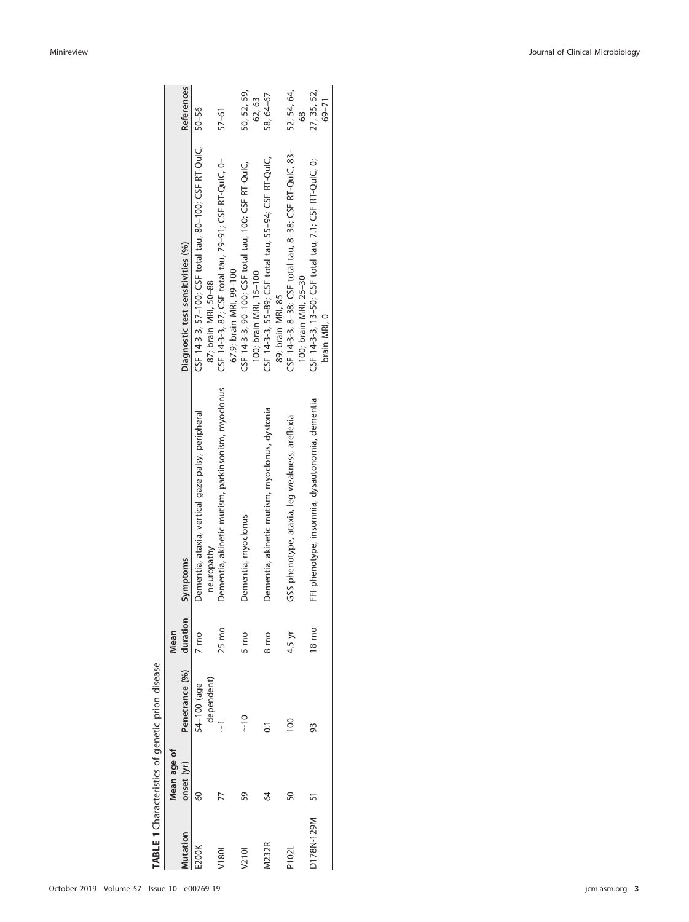<span id="page-2-0"></span>

| ١                                             |  |
|-----------------------------------------------|--|
|                                               |  |
| teristics of genetic prion disease<br>ת הער ה |  |
|                                               |  |
| TARIE 1 Ch                                    |  |

|              | Mean age of |                           | Mean            |                                                                 |                                                                                       |                      |
|--------------|-------------|---------------------------|-----------------|-----------------------------------------------------------------|---------------------------------------------------------------------------------------|----------------------|
| utation      | onset (yr)  | Penetrance (%) duration   |                 | <b>Symptoms</b>                                                 | Diagnostic test sensitivities (%)                                                     | <b>References</b>    |
|              | 60          | dependent)<br>54-100 (age | 7 mo            | Dementia, ataxia, vertical gaze palsy, peripheral<br>neuropathy | CSF 14-3-3, 57-100; CSF total tau, 80-100; CSF RT-QulC, 50-56<br>87; brain MRI, 50-88 |                      |
| V1801        |             |                           | 25 mo           | Dementia, akinetic mutism, parkinsonism, myoclonus              | CSF 14-3-3, 87; CSF total tau, 79-91; CSF RT-QulC, 0-<br>67.9; brain MRI, 99-100      | 57–61                |
| V2101        | 59          | $\frac{1}{\sqrt{2}}$      | 5 mo            | Dementia, myoclonus                                             | CSF 14-3-3, 90-100; CSF total tau, 100; CSF RT-QuIC,<br>100; brain MRI, 15-100        | 50, 52, 59,<br>62.63 |
| <b>M232R</b> | 34          | $\overline{\circ}$        | 8 <sub>mp</sub> | Dementia, akinetic mutism, myoclonus, dystonia                  | CSF 14-3-3, 55-89; CSF total tau, 55-94; CSF RT-QulC,<br>89; brain MRI, 85            | 58,64-67             |
| P102l        | SO          | $\frac{8}{1}$             | 4.5 yr          | GSS phenotype, ataxia, leg weakness, areflexia                  | CSF 14-3-3, 8-38; CSF total tau, 8-38; CSF RT-QuIC, 83-<br>100; brain MRI, 25-30      | 52, 54, 64,<br>68    |
| D178N-129M   |             | 93                        | 18 mo           | FFI phenotype, insomnia, dysautonomia, dementia                 | CSF 14-3-3, 13-50; CSF total tau, 7.1; CSF RT-QulC, 0;<br>brain MRI. 0                | 27, 35, 52,<br>69–71 |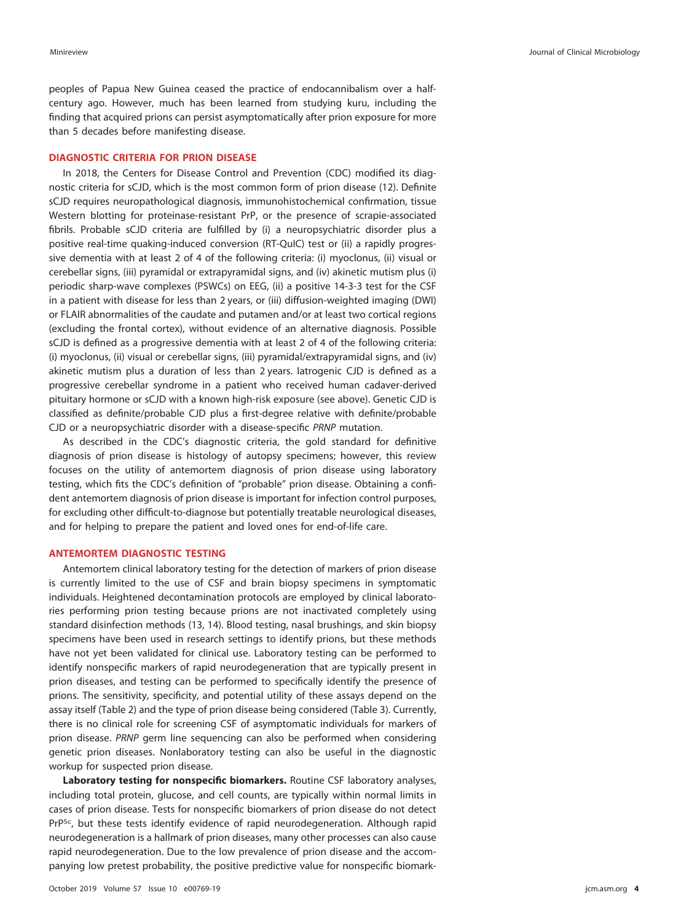peoples of Papua New Guinea ceased the practice of endocannibalism over a halfcentury ago. However, much has been learned from studying kuru, including the finding that acquired prions can persist asymptomatically after prion exposure for more than 5 decades before manifesting disease.

## **DIAGNOSTIC CRITERIA FOR PRION DISEASE**

In 2018, the Centers for Disease Control and Prevention (CDC) modified its diagnostic criteria for sCJD, which is the most common form of prion disease [\(12\)](#page-9-12). Definite sCJD requires neuropathological diagnosis, immunohistochemical confirmation, tissue Western blotting for proteinase-resistant PrP, or the presence of scrapie-associated fibrils. Probable sCJD criteria are fulfilled by (i) a neuropsychiatric disorder plus a positive real-time quaking-induced conversion (RT-QuIC) test or (ii) a rapidly progressive dementia with at least 2 of 4 of the following criteria: (i) myoclonus, (ii) visual or cerebellar signs, (iii) pyramidal or extrapyramidal signs, and (iv) akinetic mutism plus (i) periodic sharp-wave complexes (PSWCs) on EEG, (ii) a positive 14-3-3 test for the CSF in a patient with disease for less than 2 years, or (iii) diffusion-weighted imaging (DWI) or FLAIR abnormalities of the caudate and putamen and/or at least two cortical regions (excluding the frontal cortex), without evidence of an alternative diagnosis. Possible sCJD is defined as a progressive dementia with at least 2 of 4 of the following criteria: (i) myoclonus, (ii) visual or cerebellar signs, (iii) pyramidal/extrapyramidal signs, and (iv) akinetic mutism plus a duration of less than 2 years. Iatrogenic CJD is defined as a progressive cerebellar syndrome in a patient who received human cadaver-derived pituitary hormone or sCJD with a known high-risk exposure (see above). Genetic CJD is classified as definite/probable CJD plus a first-degree relative with definite/probable CJD or a neuropsychiatric disorder with a disease-specific PRNP mutation.

As described in the CDC's diagnostic criteria, the gold standard for definitive diagnosis of prion disease is histology of autopsy specimens; however, this review focuses on the utility of antemortem diagnosis of prion disease using laboratory testing, which fits the CDC's definition of "probable" prion disease. Obtaining a confident antemortem diagnosis of prion disease is important for infection control purposes, for excluding other difficult-to-diagnose but potentially treatable neurological diseases, and for helping to prepare the patient and loved ones for end-of-life care.

## **ANTEMORTEM DIAGNOSTIC TESTING**

Antemortem clinical laboratory testing for the detection of markers of prion disease is currently limited to the use of CSF and brain biopsy specimens in symptomatic individuals. Heightened decontamination protocols are employed by clinical laboratories performing prion testing because prions are not inactivated completely using standard disinfection methods [\(13,](#page-9-13) [14\)](#page-9-14). Blood testing, nasal brushings, and skin biopsy specimens have been used in research settings to identify prions, but these methods have not yet been validated for clinical use. Laboratory testing can be performed to identify nonspecific markers of rapid neurodegeneration that are typically present in prion diseases, and testing can be performed to specifically identify the presence of prions. The sensitivity, specificity, and potential utility of these assays depend on the assay itself [\(Table 2\)](#page-4-0) and the type of prion disease being considered [\(Table 3\)](#page-5-0). Currently, there is no clinical role for screening CSF of asymptomatic individuals for markers of prion disease. PRNP germ line sequencing can also be performed when considering genetic prion diseases. Nonlaboratory testing can also be useful in the diagnostic workup for suspected prion disease.

**Laboratory testing for nonspecific biomarkers.** Routine CSF laboratory analyses, including total protein, glucose, and cell counts, are typically within normal limits in cases of prion disease. Tests for nonspecific biomarkers of prion disease do not detect PrP<sup>Sc</sup>, but these tests identify evidence of rapid neurodegeneration. Although rapid neurodegeneration is a hallmark of prion diseases, many other processes can also cause rapid neurodegeneration. Due to the low prevalence of prion disease and the accompanying low pretest probability, the positive predictive value for nonspecific biomark-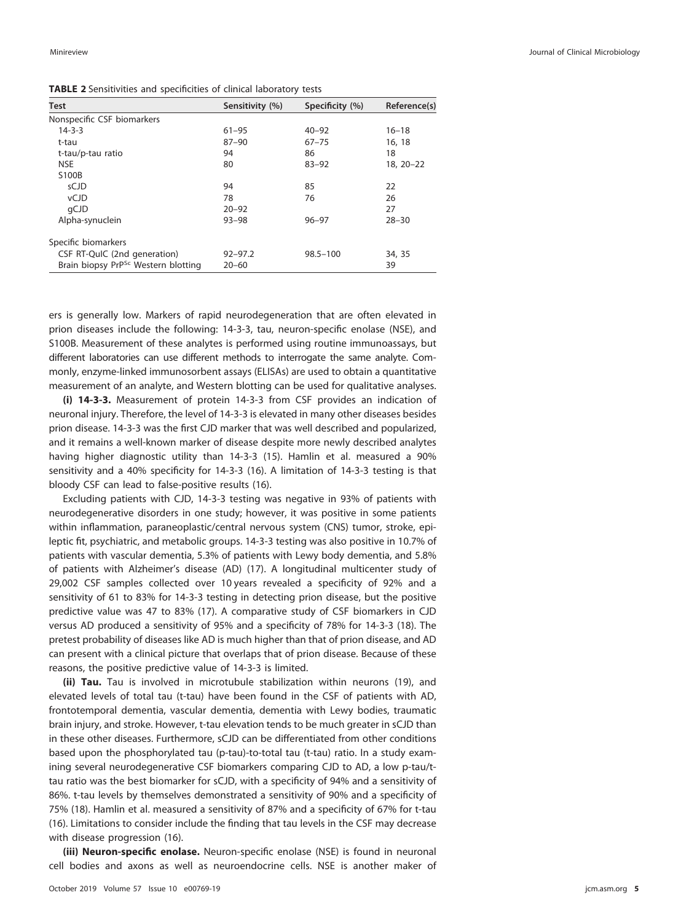<span id="page-4-0"></span>**TABLE 2** Sensitivities and specificities of clinical laboratory tests

| Test                                            | Sensitivity (%) | Specificity (%) | Reference(s)  |
|-------------------------------------------------|-----------------|-----------------|---------------|
| Nonspecific CSF biomarkers                      |                 |                 |               |
| $14 - 3 - 3$                                    | $61 - 95$       | $40 - 92$       | $16 - 18$     |
| t-tau                                           | $87 - 90$       | $67 - 75$       | 16, 18        |
| t-tau/p-tau ratio                               | 94              | 86              | 18            |
| <b>NSE</b>                                      | 80              | $83 - 92$       | $18, 20 - 22$ |
| S100B                                           |                 |                 |               |
| sCJD                                            | 94              | 85              | 22            |
| <b>vCJD</b>                                     | 78              | 76              | 26            |
| qCJD                                            | $20 - 92$       |                 | 27            |
| Alpha-synuclein                                 | $93 - 98$       | $96 - 97$       | $28 - 30$     |
| Specific biomarkers                             |                 |                 |               |
| CSF RT-QuIC (2nd generation)                    | $92 - 97.2$     | $98.5 - 100$    | 34, 35        |
| Brain biopsy PrP <sup>Sc</sup> Western blotting | $20 - 60$       |                 | 39            |

ers is generally low. Markers of rapid neurodegeneration that are often elevated in prion diseases include the following: 14-3-3, tau, neuron-specific enolase (NSE), and S100B. Measurement of these analytes is performed using routine immunoassays, but different laboratories can use different methods to interrogate the same analyte. Commonly, enzyme-linked immunosorbent assays (ELISAs) are used to obtain a quantitative measurement of an analyte, and Western blotting can be used for qualitative analyses.

**(i) 14-3-3.** Measurement of protein 14-3-3 from CSF provides an indication of neuronal injury. Therefore, the level of 14-3-3 is elevated in many other diseases besides prion disease. 14-3-3 was the first CJD marker that was well described and popularized, and it remains a well-known marker of disease despite more newly described analytes having higher diagnostic utility than 14-3-3 [\(15\)](#page-9-15). Hamlin et al. measured a 90% sensitivity and a 40% specificity for 14-3-3 [\(16\)](#page-9-16). A limitation of 14-3-3 testing is that bloody CSF can lead to false-positive results [\(16\)](#page-9-16).

Excluding patients with CJD, 14-3-3 testing was negative in 93% of patients with neurodegenerative disorders in one study; however, it was positive in some patients within inflammation, paraneoplastic/central nervous system (CNS) tumor, stroke, epileptic fit, psychiatric, and metabolic groups. 14-3-3 testing was also positive in 10.7% of patients with vascular dementia, 5.3% of patients with Lewy body dementia, and 5.8% of patients with Alzheimer's disease (AD) [\(17\)](#page-9-17). A longitudinal multicenter study of 29,002 CSF samples collected over 10 years revealed a specificity of 92% and a sensitivity of 61 to 83% for 14-3-3 testing in detecting prion disease, but the positive predictive value was 47 to 83% [\(17\)](#page-9-17). A comparative study of CSF biomarkers in CJD versus AD produced a sensitivity of 95% and a specificity of 78% for 14-3-3 [\(18\)](#page-9-18). The pretest probability of diseases like AD is much higher than that of prion disease, and AD can present with a clinical picture that overlaps that of prion disease. Because of these reasons, the positive predictive value of 14-3-3 is limited.

**(ii) Tau.** Tau is involved in microtubule stabilization within neurons [\(19\)](#page-9-19), and elevated levels of total tau (t-tau) have been found in the CSF of patients with AD, frontotemporal dementia, vascular dementia, dementia with Lewy bodies, traumatic brain injury, and stroke. However, t-tau elevation tends to be much greater in sCJD than in these other diseases. Furthermore, sCJD can be differentiated from other conditions based upon the phosphorylated tau (p-tau)-to-total tau (t-tau) ratio. In a study examining several neurodegenerative CSF biomarkers comparing CJD to AD, a low p-tau/ttau ratio was the best biomarker for sCJD, with a specificity of 94% and a sensitivity of 86%. t-tau levels by themselves demonstrated a sensitivity of 90% and a specificity of 75% [\(18\)](#page-9-18). Hamlin et al. measured a sensitivity of 87% and a specificity of 67% for t-tau [\(16\)](#page-9-16). Limitations to consider include the finding that tau levels in the CSF may decrease with disease progression [\(16\)](#page-9-16).

**(iii) Neuron-specific enolase.** Neuron-specific enolase (NSE) is found in neuronal cell bodies and axons as well as neuroendocrine cells. NSE is another maker of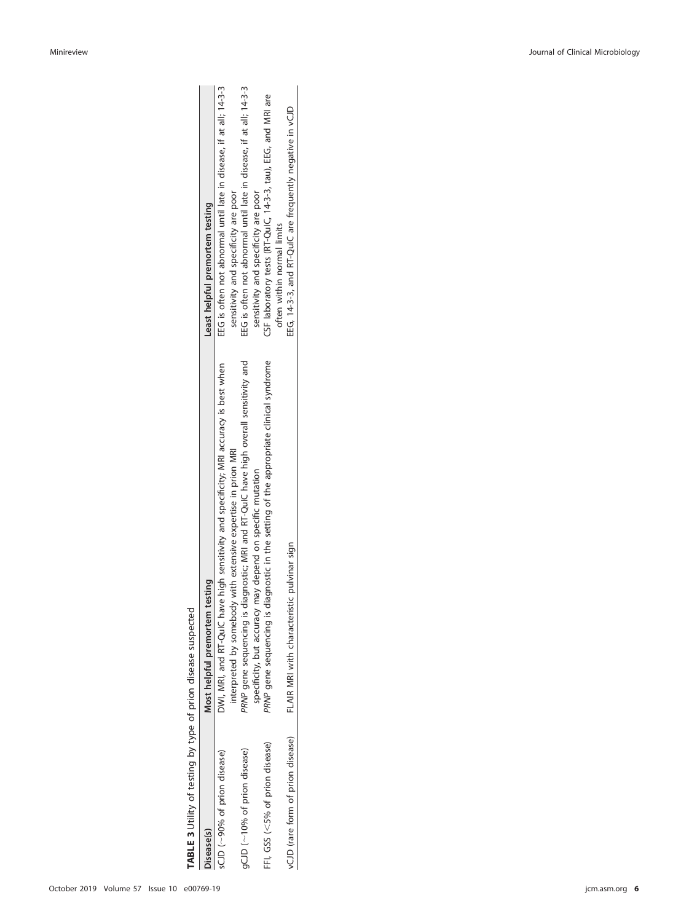<span id="page-5-0"></span>

| í                              |  |
|--------------------------------|--|
|                                |  |
| l                              |  |
|                                |  |
| J                              |  |
| I<br>١<br>I<br>ţ               |  |
| I<br>$\ddot{\phantom{0}}$<br>١ |  |
|                                |  |
| ļ                              |  |
| ١                              |  |
| Sin Si                         |  |
|                                |  |
| ١                              |  |
| J                              |  |
| l                              |  |
|                                |  |
| )                              |  |
| ١                              |  |
|                                |  |
|                                |  |
|                                |  |
| ١                              |  |
|                                |  |
|                                |  |
|                                |  |
|                                |  |
|                                |  |
|                                |  |
| ļ                              |  |
|                                |  |

| TABLE 3 Utility of testing by type of prion disease suspected |                                                                                           |                                                                    |
|---------------------------------------------------------------|-------------------------------------------------------------------------------------------|--------------------------------------------------------------------|
| lisease(s)                                                    | Most helpful premortem testing                                                            | Least helpful premortem testing                                    |
| sCJD (~90% of prion disease)                                  | DWI, MRI, and RT-QuIC have high sensitivity and specificity; MRI accuracy is best when    | EEG is often not abnormal until late in disease, if at all; 14-3-3 |
|                                                               | nterpreted by somebody with extensive expertise in prion MRI                              | sensitivity and specificity are poor                               |
| gCJD (~10% of prion disease)                                  | PRNP gene sequencing is diagnostic; MRI and RT-QuIC have high overall sensitivity and     | EEG is often not abnormal until late in disease, if at all; 14-3-3 |
|                                                               | specificity, but accuracy may depend on specific mutation                                 | sensitivity and specificity are poor                               |
| FFI, GSS (<5% of prion disease)                               | diagnostic in the setting of the appropriate clinical syndrome<br>PRNP gene sequencing is | CSF laboratory tests (RT-QuIC, 14-3-3, tau), EEG, and MRI are      |
|                                                               |                                                                                           | often within normal limits                                         |
| vCJD (rare form of prion disease)                             | FLAIR MRI with characteristic pulvinar sign                                               | EEG, 14-3-3, and RT-QuIC are frequently negative in vCJD           |
|                                                               |                                                                                           |                                                                    |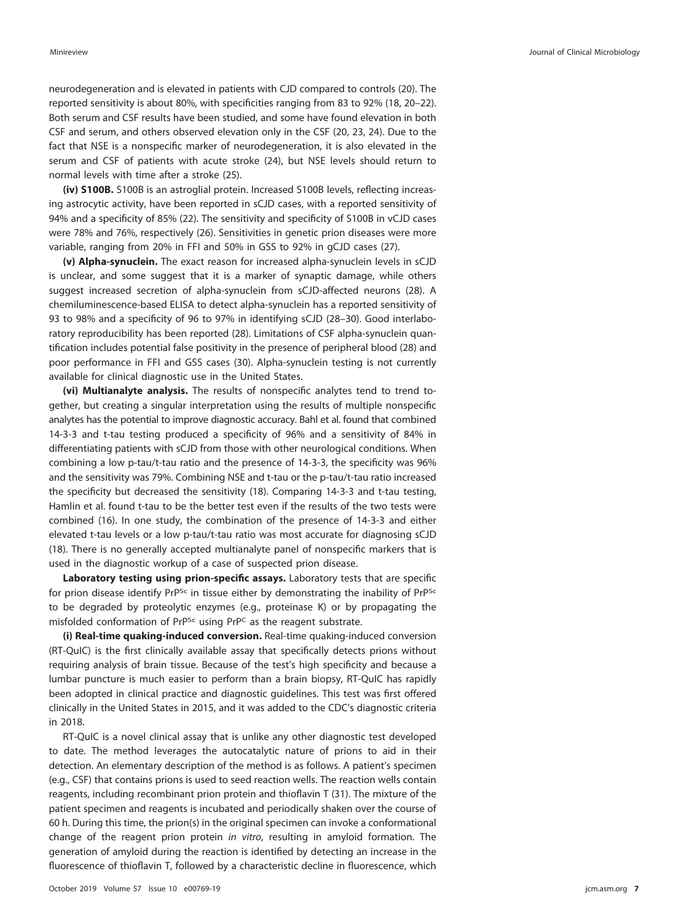neurodegeneration and is elevated in patients with CJD compared to controls [\(20\)](#page-9-20). The reported sensitivity is about 80%, with specificities ranging from 83 to 92% [\(18,](#page-9-18) [20](#page-9-20)[–](#page-9-21)[22\)](#page-9-22). Both serum and CSF results have been studied, and some have found elevation in both CSF and serum, and others observed elevation only in the CSF [\(20,](#page-9-20) [23,](#page-9-26) [24\)](#page-9-27). Due to the fact that NSE is a nonspecific marker of neurodegeneration, it is also elevated in the serum and CSF of patients with acute stroke [\(24\)](#page-9-27), but NSE levels should return to normal levels with time after a stroke [\(25\)](#page-9-28).

**(iv) S100B.** S100B is an astroglial protein. Increased S100B levels, reflecting increasing astrocytic activity, have been reported in sCJD cases, with a reported sensitivity of 94% and a specificity of 85% [\(22\)](#page-9-22). The sensitivity and specificity of S100B in vCJD cases were 78% and 76%, respectively [\(26\)](#page-9-23). Sensitivities in genetic prion diseases were more variable, ranging from 20% in FFI and 50% in GSS to 92% in gCJD cases [\(27\)](#page-9-11).

**(v) Alpha-synuclein.** The exact reason for increased alpha-synuclein levels in sCJD is unclear, and some suggest that it is a marker of synaptic damage, while others suggest increased secretion of alpha-synuclein from sCJD-affected neurons [\(28\)](#page-9-24). A chemiluminescence-based ELISA to detect alpha-synuclein has a reported sensitivity of 93 to 98% and a specificity of 96 to 97% in identifying sCJD [\(28](#page-9-24)[–](#page-9-25)[30\)](#page-10-11). Good interlaboratory reproducibility has been reported [\(28\)](#page-9-24). Limitations of CSF alpha-synuclein quantification includes potential false positivity in the presence of peripheral blood [\(28\)](#page-9-24) and poor performance in FFI and GSS cases [\(30\)](#page-10-11). Alpha-synuclein testing is not currently available for clinical diagnostic use in the United States.

**(vi) Multianalyte analysis.** The results of nonspecific analytes tend to trend together, but creating a singular interpretation using the results of multiple nonspecific analytes has the potential to improve diagnostic accuracy. Bahl et al. found that combined 14-3-3 and t-tau testing produced a specificity of 96% and a sensitivity of 84% in differentiating patients with sCJD from those with other neurological conditions. When combining a low p-tau/t-tau ratio and the presence of 14-3-3, the specificity was 96% and the sensitivity was 79%. Combining NSE and t-tau or the p-tau/t-tau ratio increased the specificity but decreased the sensitivity [\(18\)](#page-9-18). Comparing 14-3-3 and t-tau testing, Hamlin et al. found t-tau to be the better test even if the results of the two tests were combined [\(16\)](#page-9-16). In one study, the combination of the presence of 14-3-3 and either elevated t-tau levels or a low p-tau/t-tau ratio was most accurate for diagnosing sCJD [\(18\)](#page-9-18). There is no generally accepted multianalyte panel of nonspecific markers that is used in the diagnostic workup of a case of suspected prion disease.

**Laboratory testing using prion-specific assays.** Laboratory tests that are specific for prion disease identify PrP<sup>Sc</sup> in tissue either by demonstrating the inability of PrP<sup>Sc</sup> to be degraded by proteolytic enzymes (e.g., proteinase K) or by propagating the misfolded conformation of PrP<sup>Sc</sup> using PrP<sup>C</sup> as the reagent substrate.

**(i) Real-time quaking-induced conversion.** Real-time quaking-induced conversion (RT-QuIC) is the first clinically available assay that specifically detects prions without requiring analysis of brain tissue. Because of the test's high specificity and because a lumbar puncture is much easier to perform than a brain biopsy, RT-QuIC has rapidly been adopted in clinical practice and diagnostic guidelines. This test was first offered clinically in the United States in 2015, and it was added to the CDC's diagnostic criteria in 2018.

RT-QuIC is a novel clinical assay that is unlike any other diagnostic test developed to date. The method leverages the autocatalytic nature of prions to aid in their detection. An elementary description of the method is as follows. A patient's specimen (e.g., CSF) that contains prions is used to seed reaction wells. The reaction wells contain reagents, including recombinant prion protein and thioflavin T [\(31\)](#page-10-14). The mixture of the patient specimen and reagents is incubated and periodically shaken over the course of 60 h. During this time, the prion(s) in the original specimen can invoke a conformational change of the reagent prion protein in vitro, resulting in amyloid formation. The generation of amyloid during the reaction is identified by detecting an increase in the fluorescence of thioflavin T, followed by a characteristic decline in fluorescence, which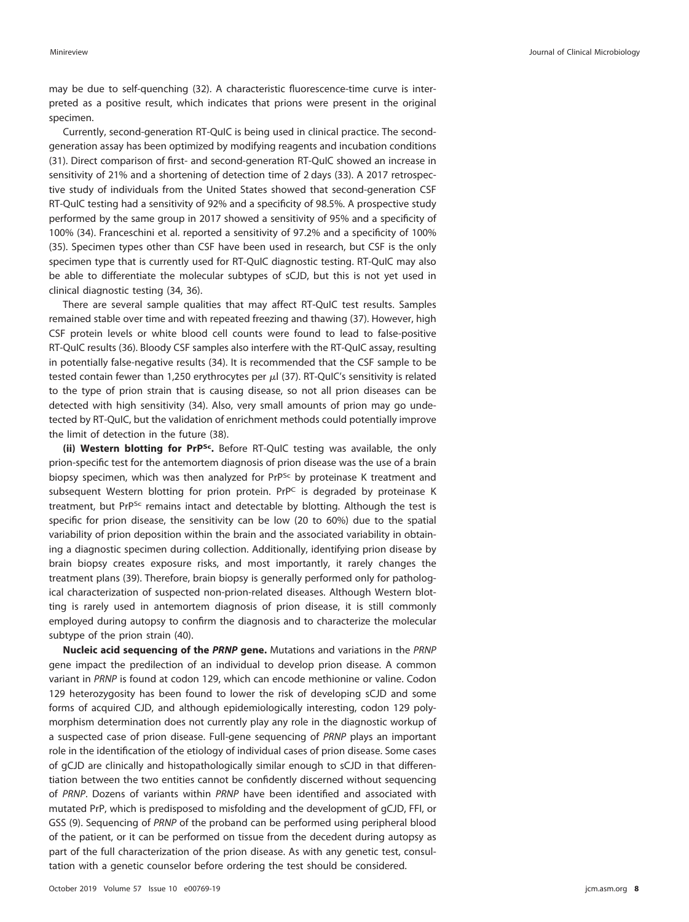may be due to self-quenching [\(32\)](#page-10-15). A characteristic fluorescence-time curve is interpreted as a positive result, which indicates that prions were present in the original specimen.

Currently, second-generation RT-QuIC is being used in clinical practice. The secondgeneration assay has been optimized by modifying reagents and incubation conditions [\(31\)](#page-10-14). Direct comparison of first- and second-generation RT-QuIC showed an increase in sensitivity of 21% and a shortening of detection time of 2 days [\(33\)](#page-10-16). A 2017 retrospective study of individuals from the United States showed that second-generation CSF RT-QuIC testing had a sensitivity of 92% and a specificity of 98.5%. A prospective study performed by the same group in 2017 showed a sensitivity of 95% and a specificity of 100% [\(34\)](#page-10-12). Franceschini et al. reported a sensitivity of 97.2% and a specificity of 100% [\(35\)](#page-10-10). Specimen types other than CSF have been used in research, but CSF is the only specimen type that is currently used for RT-QuIC diagnostic testing. RT-QuIC may also be able to differentiate the molecular subtypes of sCJD, but this is not yet used in clinical diagnostic testing [\(34,](#page-10-12) [36\)](#page-10-17).

There are several sample qualities that may affect RT-QuIC test results. Samples remained stable over time and with repeated freezing and thawing [\(37\)](#page-10-18). However, high CSF protein levels or white blood cell counts were found to lead to false-positive RT-QuIC results [\(36\)](#page-10-17). Bloody CSF samples also interfere with the RT-QuIC assay, resulting in potentially false-negative results [\(34\)](#page-10-12). It is recommended that the CSF sample to be tested contain fewer than 1,250 erythrocytes per  $\mu$ l [\(37\)](#page-10-18). RT-QuIC's sensitivity is related to the type of prion strain that is causing disease, so not all prion diseases can be detected with high sensitivity [\(34\)](#page-10-12). Also, very small amounts of prion may go undetected by RT-QuIC, but the validation of enrichment methods could potentially improve the limit of detection in the future [\(38\)](#page-10-19).

**(ii) Western blotting for PrPSc.** Before RT-QuIC testing was available, the only prion-specific test for the antemortem diagnosis of prion disease was the use of a brain biopsy specimen, which was then analyzed for  $PrP^{SC}$  by proteinase K treatment and subsequent Western blotting for prion protein. PrPC is degraded by proteinase K treatment, but PrP<sup>Sc</sup> remains intact and detectable by blotting. Although the test is specific for prion disease, the sensitivity can be low (20 to 60%) due to the spatial variability of prion deposition within the brain and the associated variability in obtaining a diagnostic specimen during collection. Additionally, identifying prion disease by brain biopsy creates exposure risks, and most importantly, it rarely changes the treatment plans [\(39\)](#page-10-13). Therefore, brain biopsy is generally performed only for pathological characterization of suspected non-prion-related diseases. Although Western blotting is rarely used in antemortem diagnosis of prion disease, it is still commonly employed during autopsy to confirm the diagnosis and to characterize the molecular subtype of the prion strain [\(40\)](#page-10-20).

**Nucleic acid sequencing of the** *PRNP* **gene.** Mutations and variations in the PRNP gene impact the predilection of an individual to develop prion disease. A common variant in PRNP is found at codon 129, which can encode methionine or valine. Codon 129 heterozygosity has been found to lower the risk of developing sCJD and some forms of acquired CJD, and although epidemiologically interesting, codon 129 polymorphism determination does not currently play any role in the diagnostic workup of a suspected case of prion disease. Full-gene sequencing of PRNP plays an important role in the identification of the etiology of individual cases of prion disease. Some cases of gCJD are clinically and histopathologically similar enough to sCJD in that differentiation between the two entities cannot be confidently discerned without sequencing of PRNP. Dozens of variants within PRNP have been identified and associated with mutated PrP, which is predisposed to misfolding and the development of gCJD, FFI, or GSS [\(9\)](#page-9-8). Sequencing of PRNP of the proband can be performed using peripheral blood of the patient, or it can be performed on tissue from the decedent during autopsy as part of the full characterization of the prion disease. As with any genetic test, consultation with a genetic counselor before ordering the test should be considered.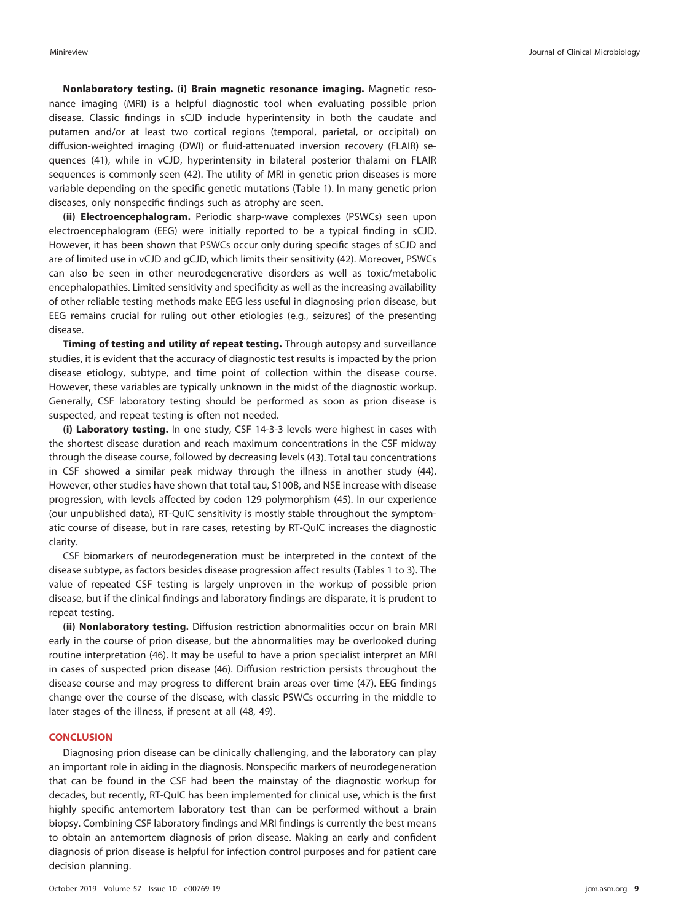**Nonlaboratory testing. (i) Brain magnetic resonance imaging.** Magnetic resonance imaging (MRI) is a helpful diagnostic tool when evaluating possible prion disease. Classic findings in sCJD include hyperintensity in both the caudate and putamen and/or at least two cortical regions (temporal, parietal, or occipital) on diffusion-weighted imaging (DWI) or fluid-attenuated inversion recovery (FLAIR) sequences [\(41\)](#page-10-21), while in vCJD, hyperintensity in bilateral posterior thalami on FLAIR sequences is commonly seen [\(42\)](#page-10-22). The utility of MRI in genetic prion diseases is more variable depending on the specific genetic mutations [\(Table 1\)](#page-2-0). In many genetic prion diseases, only nonspecific findings such as atrophy are seen.

**(ii) Electroencephalogram.** Periodic sharp-wave complexes (PSWCs) seen upon electroencephalogram (EEG) were initially reported to be a typical finding in sCJD. However, it has been shown that PSWCs occur only during specific stages of sCJD and are of limited use in vCJD and gCJD, which limits their sensitivity [\(42\)](#page-10-22). Moreover, PSWCs can also be seen in other neurodegenerative disorders as well as toxic/metabolic encephalopathies. Limited sensitivity and specificity as well as the increasing availability of other reliable testing methods make EEG less useful in diagnosing prion disease, but EEG remains crucial for ruling out other etiologies (e.g., seizures) of the presenting disease.

**Timing of testing and utility of repeat testing.** Through autopsy and surveillance studies, it is evident that the accuracy of diagnostic test results is impacted by the prion disease etiology, subtype, and time point of collection within the disease course. However, these variables are typically unknown in the midst of the diagnostic workup. Generally, CSF laboratory testing should be performed as soon as prion disease is suspected, and repeat testing is often not needed.

**(i) Laboratory testing.** In one study, CSF 14-3-3 levels were highest in cases with the shortest disease duration and reach maximum concentrations in the CSF midway through the disease course, followed by decreasing levels [\(43\)](#page-10-23). Total tau concentrations in CSF showed a similar peak midway through the illness in another study [\(44\)](#page-10-24). However, other studies have shown that total tau, S100B, and NSE increase with disease progression, with levels affected by codon 129 polymorphism [\(45\)](#page-10-25). In our experience (our unpublished data), RT-QuIC sensitivity is mostly stable throughout the symptomatic course of disease, but in rare cases, retesting by RT-QuIC increases the diagnostic clarity.

CSF biomarkers of neurodegeneration must be interpreted in the context of the disease subtype, as factors besides disease progression affect results [\(Tables 1](#page-2-0) to [3\)](#page-5-0). The value of repeated CSF testing is largely unproven in the workup of possible prion disease, but if the clinical findings and laboratory findings are disparate, it is prudent to repeat testing.

**(ii) Nonlaboratory testing.** Diffusion restriction abnormalities occur on brain MRI early in the course of prion disease, but the abnormalities may be overlooked during routine interpretation [\(46\)](#page-10-26). It may be useful to have a prion specialist interpret an MRI in cases of suspected prion disease [\(46\)](#page-10-26). Diffusion restriction persists throughout the disease course and may progress to different brain areas over time [\(47\)](#page-10-27). EEG findings change over the course of the disease, with classic PSWCs occurring in the middle to later stages of the illness, if present at all [\(48,](#page-10-28) [49\)](#page-10-29).

## **CONCLUSION**

Diagnosing prion disease can be clinically challenging, and the laboratory can play an important role in aiding in the diagnosis. Nonspecific markers of neurodegeneration that can be found in the CSF had been the mainstay of the diagnostic workup for decades, but recently, RT-QuIC has been implemented for clinical use, which is the first highly specific antemortem laboratory test than can be performed without a brain biopsy. Combining CSF laboratory findings and MRI findings is currently the best means to obtain an antemortem diagnosis of prion disease. Making an early and confident diagnosis of prion disease is helpful for infection control purposes and for patient care decision planning.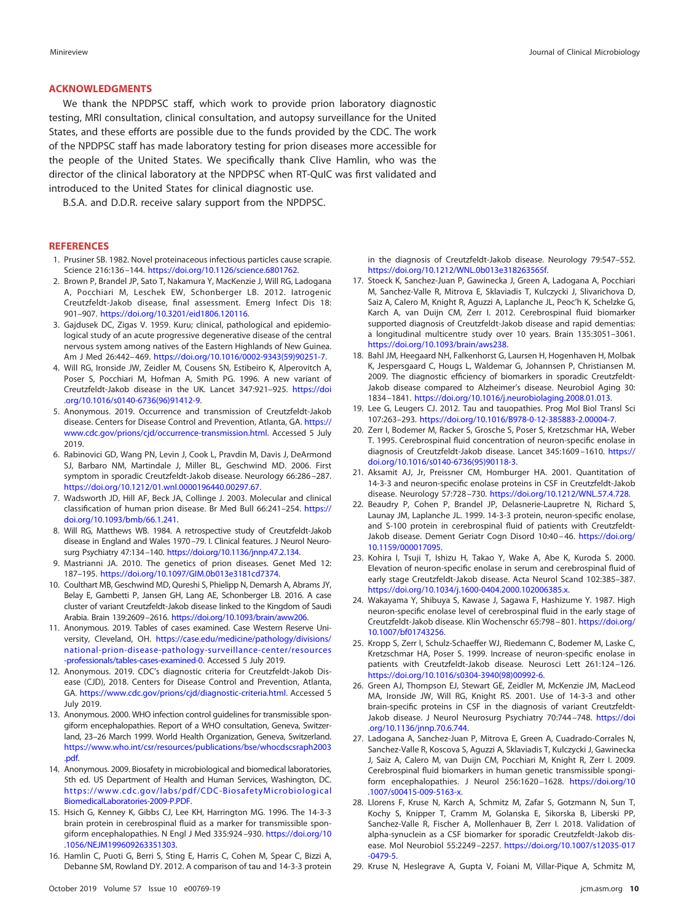## **ACKNOWLEDGMENTS**

We thank the NPDPSC staff, which work to provide prion laboratory diagnostic testing, MRI consultation, clinical consultation, and autopsy surveillance for the United States, and these efforts are possible due to the funds provided by the CDC. The work of the NPDPSC staff has made laboratory testing for prion diseases more accessible for the people of the United States. We specifically thank Clive Hamlin, who was the director of the clinical laboratory at the NPDPSC when RT-QuIC was first validated and introduced to the United States for clinical diagnostic use.

B.S.A. and D.D.R. receive salary support from the NPDPSC.

#### <span id="page-9-0"></span>**REFERENCES**

- <span id="page-9-1"></span>1. Prusiner SB. 1982. Novel proteinaceous infectious particles cause scrapie. Science 216:136 –144. [https://doi.org/10.1126/science.6801762.](https://doi.org/10.1126/science.6801762)
- 2. Brown P, Brandel JP, Sato T, Nakamura Y, MacKenzie J, Will RG, Ladogana A, Pocchiari M, Leschek EW, Schonberger LB. 2012. Iatrogenic Creutzfeldt-Jakob disease, final assessment. Emerg Infect Dis 18: 901–907. [https://doi.org/10.3201/eid1806.120116.](https://doi.org/10.3201/eid1806.120116)
- <span id="page-9-2"></span>3. Gajdusek DC, Zigas V. 1959. Kuru; clinical, pathological and epidemiological study of an acute progressive degenerative disease of the central nervous system among natives of the Eastern Highlands of New Guinea. Am J Med 26:442-469. [https://doi.org/10.1016/0002-9343\(59\)90251-7.](https://doi.org/10.1016/0002-9343(59)90251-7)
- <span id="page-9-3"></span>4. Will RG, Ironside JW, Zeidler M, Cousens SN, Estibeiro K, Alperovitch A, Poser S, Pocchiari M, Hofman A, Smith PG. 1996. A new variant of Creutzfeldt-Jakob disease in the UK. Lancet 347:921–925. [https://doi](https://doi.org/10.1016/s0140-6736(96)91412-9) [.org/10.1016/s0140-6736\(96\)91412-9.](https://doi.org/10.1016/s0140-6736(96)91412-9)
- <span id="page-9-4"></span>5. Anonymous. 2019. Occurrence and transmission of Creutzfeldt-Jakob disease. Centers for Disease Control and Prevention, Atlanta, GA. [https://](https://www.cdc.gov/prions/cjd/occurrence-transmission.html) [www.cdc.gov/prions/cjd/occurrence-transmission.html.](https://www.cdc.gov/prions/cjd/occurrence-transmission.html) Accessed 5 July 2019.
- <span id="page-9-5"></span>6. Rabinovici GD, Wang PN, Levin J, Cook L, Pravdin M, Davis J, DeArmond SJ, Barbaro NM, Martindale J, Miller BL, Geschwind MD. 2006. First symptom in sporadic Creutzfeldt-Jakob disease. Neurology 66:286 –287. [https://doi.org/10.1212/01.wnl.0000196440.00297.67.](https://doi.org/10.1212/01.wnl.0000196440.00297.67)
- <span id="page-9-6"></span>7. Wadsworth JD, Hill AF, Beck JA, Collinge J. 2003. Molecular and clinical classification of human prion disease. Br Med Bull 66:241–254. [https://](https://doi.org/10.1093/bmb/66.1.241) [doi.org/10.1093/bmb/66.1.241.](https://doi.org/10.1093/bmb/66.1.241)
- <span id="page-9-7"></span>8. Will RG, Matthews WB. 1984. A retrospective study of Creutzfeldt-Jakob disease in England and Wales 1970 –79. I. Clinical features. J Neurol Neurosurg Psychiatry 47:134-140. [https://doi.org/10.1136/jnnp.47.2.134.](https://doi.org/10.1136/jnnp.47.2.134)
- <span id="page-9-9"></span><span id="page-9-8"></span>9. Mastrianni JA. 2010. The genetics of prion diseases. Genet Med 12: 187–195. [https://doi.org/10.1097/GIM.0b013e3181cd7374.](https://doi.org/10.1097/GIM.0b013e3181cd7374)
- 10. Coulthart MB, Geschwind MD, Qureshi S, Phielipp N, Demarsh A, Abrams JY, Belay E, Gambetti P, Jansen GH, Lang AE, Schonberger LB. 2016. A case cluster of variant Creutzfeldt-Jakob disease linked to the Kingdom of Saudi Arabia. Brain 139:2609 –2616. [https://doi.org/10.1093/brain/aww206.](https://doi.org/10.1093/brain/aww206)
- <span id="page-9-10"></span>11. Anonymous. 2019. Tables of cases examined. Case Western Reserve University, Cleveland, OH. [https://case.edu/medicine/pathology/divisions/](https://case.edu/medicine/pathology/divisions/national-prion-disease-pathology-surveillance-center/resources-professionals/tables-cases-examined-0) [national-prion-disease-pathology-surveillance-center/resources](https://case.edu/medicine/pathology/divisions/national-prion-disease-pathology-surveillance-center/resources-professionals/tables-cases-examined-0) [-professionals/tables-cases-examined-0.](https://case.edu/medicine/pathology/divisions/national-prion-disease-pathology-surveillance-center/resources-professionals/tables-cases-examined-0) Accessed 5 July 2019.
- <span id="page-9-12"></span>12. Anonymous. 2019. CDC's diagnostic criteria for Creutzfeldt-Jakob Disease (CJD), 2018. Centers for Disease Control and Prevention, Atlanta, GA. [https://www.cdc.gov/prions/cjd/diagnostic-criteria.html.](https://www.cdc.gov/prions/cjd/diagnostic-criteria.html) Accessed 5 July 2019.
- <span id="page-9-13"></span>13. Anonymous. 2000. WHO infection control guidelines for transmissible spongiform encephalopathies. Report of a WHO consultation, Geneva, Switzerland, 23–26 March 1999. World Health Organization, Geneva, Switzerland. [https://www.who.int/csr/resources/publications/bse/whocdscsraph2003](https://www.who.int/csr/resources/publications/bse/whocdscsraph2003.pdf) [.pdf.](https://www.who.int/csr/resources/publications/bse/whocdscsraph2003.pdf)
- <span id="page-9-14"></span>14. Anonymous. 2009. Biosafety in microbiological and biomedical laboratories, 5th ed. US Department of Health and Human Services, Washington, DC. [https://www.cdc.gov/labs/pdf/CDC-BiosafetyMicrobiological](https://www.cdc.gov/labs/pdf/CDC-BiosafetyMicrobiologicalBiomedicalLaboratories-2009-P.PDF) [BiomedicalLaboratories-2009-P.PDF.](https://www.cdc.gov/labs/pdf/CDC-BiosafetyMicrobiologicalBiomedicalLaboratories-2009-P.PDF)
- <span id="page-9-15"></span>15. Hsich G, Kenney K, Gibbs CJ, Lee KH, Harrington MG. 1996. The 14-3-3 brain protein in cerebrospinal fluid as a marker for transmissible spongiform encephalopathies. N Engl J Med 335:924-930. [https://doi.org/10](https://doi.org/10.1056/NEJM199609263351303) [.1056/NEJM199609263351303.](https://doi.org/10.1056/NEJM199609263351303)
- <span id="page-9-16"></span>16. Hamlin C, Puoti G, Berri S, Sting E, Harris C, Cohen M, Spear C, Bizzi A, Debanne SM, Rowland DY. 2012. A comparison of tau and 14-3-3 protein

in the diagnosis of Creutzfeldt-Jakob disease. Neurology 79:547–552. [https://doi.org/10.1212/WNL.0b013e318263565f.](https://doi.org/10.1212/WNL.0b013e318263565f)

- <span id="page-9-17"></span>17. Stoeck K, Sanchez-Juan P, Gawinecka J, Green A, Ladogana A, Pocchiari M, Sanchez-Valle R, Mitrova E, Sklaviadis T, Kulczycki J, Slivarichova D, Saiz A, Calero M, Knight R, Aguzzi A, Laplanche JL, Peoc'h K, Schelzke G, Karch A, van Duijn CM, Zerr I. 2012. Cerebrospinal fluid biomarker supported diagnosis of Creutzfeldt-Jakob disease and rapid dementias: a longitudinal multicentre study over 10 years. Brain 135:3051–3061. [https://doi.org/10.1093/brain/aws238.](https://doi.org/10.1093/brain/aws238)
- <span id="page-9-18"></span>18. Bahl JM, Heegaard NH, Falkenhorst G, Laursen H, Hogenhaven H, Molbak K, Jespersgaard C, Hougs L, Waldemar G, Johannsen P, Christiansen M. 2009. The diagnostic efficiency of biomarkers in sporadic Creutzfeldt-Jakob disease compared to Alzheimer's disease. Neurobiol Aging 30: 1834 –1841. [https://doi.org/10.1016/j.neurobiolaging.2008.01.013.](https://doi.org/10.1016/j.neurobiolaging.2008.01.013)
- <span id="page-9-20"></span><span id="page-9-19"></span>19. Lee G, Leugers CJ. 2012. Tau and tauopathies. Prog Mol Biol Transl Sci 107:263–293. [https://doi.org/10.1016/B978-0-12-385883-2.00004-7.](https://doi.org/10.1016/B978-0-12-385883-2.00004-7)
- 20. Zerr I, Bodemer M, Racker S, Grosche S, Poser S, Kretzschmar HA, Weber T. 1995. Cerebrospinal fluid concentration of neuron-specific enolase in diagnosis of Creutzfeldt-Jakob disease. Lancet 345:1609 –1610. [https://](https://doi.org/10.1016/s0140-6736(95)90118-3) [doi.org/10.1016/s0140-6736\(95\)90118-3.](https://doi.org/10.1016/s0140-6736(95)90118-3)
- <span id="page-9-22"></span><span id="page-9-21"></span>21. Aksamit AJ, Jr, Preissner CM, Homburger HA. 2001. Quantitation of 14-3-3 and neuron-specific enolase proteins in CSF in Creutzfeldt-Jakob disease. Neurology 57:728 –730. [https://doi.org/10.1212/WNL.57.4.728.](https://doi.org/10.1212/WNL.57.4.728)
- 22. Beaudry P, Cohen P, Brandel JP, Delasnerie-Laupretre N, Richard S, Launay JM, Laplanche JL. 1999. 14-3-3 protein, neuron-specific enolase, and S-100 protein in cerebrospinal fluid of patients with Creutzfeldt-Jakob disease. Dement Geriatr Cogn Disord 10:40 – 46. [https://doi.org/](https://doi.org/10.1159/000017095) [10.1159/000017095.](https://doi.org/10.1159/000017095)
- <span id="page-9-26"></span>23. Kohira I, Tsuji T, Ishizu H, Takao Y, Wake A, Abe K, Kuroda S. 2000. Elevation of neuron-specific enolase in serum and cerebrospinal fluid of early stage Creutzfeldt-Jakob disease. Acta Neurol Scand 102:385–387. [https://doi.org/10.1034/j.1600-0404.2000.102006385.x.](https://doi.org/10.1034/j.1600-0404.2000.102006385.x)
- <span id="page-9-27"></span>24. Wakayama Y, Shibuya S, Kawase J, Sagawa F, Hashizume Y. 1987. High neuron-specific enolase level of cerebrospinal fluid in the early stage of Creutzfeldt-Jakob disease. Klin Wochenschr 65:798 – 801. [https://doi.org/](https://doi.org/10.1007/bf01743256) [10.1007/bf01743256.](https://doi.org/10.1007/bf01743256)
- <span id="page-9-28"></span>25. Kropp S, Zerr I, Schulz-Schaeffer WJ, Riedemann C, Bodemer M, Laske C, Kretzschmar HA, Poser S. 1999. Increase of neuron-specific enolase in patients with Creutzfeldt-Jakob disease. Neurosci Lett 261:124 –126. [https://doi.org/10.1016/s0304-3940\(98\)00992-6.](https://doi.org/10.1016/s0304-3940(98)00992-6)
- <span id="page-9-23"></span>26. Green AJ, Thompson EJ, Stewart GE, Zeidler M, McKenzie JM, MacLeod MA, Ironside JW, Will RG, Knight RS. 2001. Use of 14-3-3 and other brain-specific proteins in CSF in the diagnosis of variant CreutzfeldtJakob disease. J Neurol Neurosurg Psychiatry 70:744-748. [https://doi](https://doi.org/10.1136/jnnp.70.6.744) [.org/10.1136/jnnp.70.6.744.](https://doi.org/10.1136/jnnp.70.6.744)
- <span id="page-9-11"></span>27. Ladogana A, Sanchez-Juan P, Mitrova E, Green A, Cuadrado-Corrales N, Sanchez-Valle R, Koscova S, Aguzzi A, Sklaviadis T, Kulczycki J, Gawinecka J, Saiz A, Calero M, van Duijn CM, Pocchiari M, Knight R, Zerr I. 2009. Cerebrospinal fluid biomarkers in human genetic transmissible spongiform encephalopathies. J Neurol 256:1620 –1628. [https://doi.org/10](https://doi.org/10.1007/s00415-009-5163-x) [.1007/s00415-009-5163-x.](https://doi.org/10.1007/s00415-009-5163-x)
- <span id="page-9-24"></span>28. Llorens F, Kruse N, Karch A, Schmitz M, Zafar S, Gotzmann N, Sun T, Kochy S, Knipper T, Cramm M, Golanska E, Sikorska B, Liberski PP, Sanchez-Valle R, Fischer A, Mollenhauer B, Zerr I. 2018. Validation of alpha-synuclein as a CSF biomarker for sporadic Creutzfeldt-Jakob disease. Mol Neurobiol 55:2249 –2257. [https://doi.org/10.1007/s12035-017](https://doi.org/10.1007/s12035-017-0479-5) [-0479-5.](https://doi.org/10.1007/s12035-017-0479-5)
- <span id="page-9-25"></span>29. Kruse N, Heslegrave A, Gupta V, Foiani M, Villar-Pique A, Schmitz M,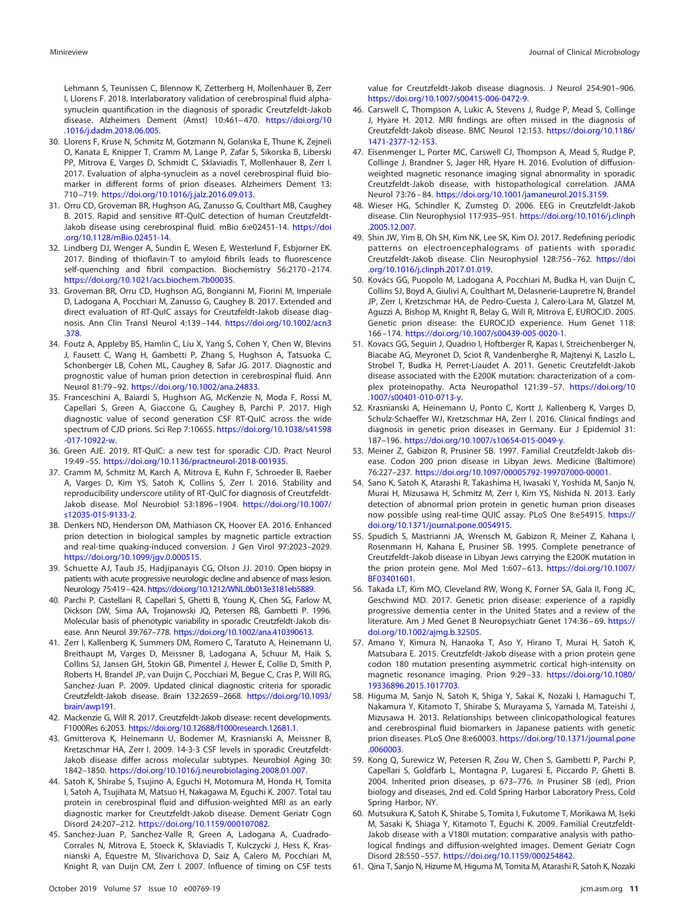Lehmann S, Teunissen C, Blennow K, Zetterberg H, Mollenhauer B, Zerr I, Llorens F. 2018. Interlaboratory validation of cerebrospinal fluid alphasynuclein quantification in the diagnosis of sporadic Creutzfeldt-Jakob disease. Alzheimers Dement (Amst) 10:461– 470. [https://doi.org/10](https://doi.org/10.1016/j.dadm.2018.06.005) [.1016/j.dadm.2018.06.005.](https://doi.org/10.1016/j.dadm.2018.06.005)

- <span id="page-10-11"></span>30. Llorens F, Kruse N, Schmitz M, Gotzmann N, Golanska E, Thune K, Zejneli O, Kanata E, Knipper T, Cramm M, Lange P, Zafar S, Sikorska B, Liberski PP, Mitrova E, Varges D, Schmidt C, Sklaviadis T, Mollenhauer B, Zerr I. 2017. Evaluation of alpha-synuclein as a novel cerebrospinal fluid biomarker in different forms of prion diseases. Alzheimers Dement 13: 710 –719. [https://doi.org/10.1016/j.jalz.2016.09.013.](https://doi.org/10.1016/j.jalz.2016.09.013)
- <span id="page-10-14"></span>31. Orru CD, Groveman BR, Hughson AG, Zanusso G, Coulthart MB, Caughey B. 2015. Rapid and sensitive RT-QuIC detection of human Creutzfeldt-Jakob disease using cerebrospinal fluid. mBio 6:e02451-14. [https://doi](https://doi.org/10.1128/mBio.02451-14) [.org/10.1128/mBio.02451-14.](https://doi.org/10.1128/mBio.02451-14)
- <span id="page-10-15"></span>32. Lindberg DJ, Wenger A, Sundin E, Wesen E, Westerlund F, Esbjorner EK. 2017. Binding of thioflavin-T to amyloid fibrils leads to fluorescence self-quenching and fibril compaction. Biochemistry 56:2170 –2174. [https://doi.org/10.1021/acs.biochem.7b00035.](https://doi.org/10.1021/acs.biochem.7b00035)
- <span id="page-10-16"></span>33. Groveman BR, Orru CD, Hughson AG, Bongianni M, Fiorini M, Imperiale D, Ladogana A, Pocchiari M, Zanusso G, Caughey B. 2017. Extended and direct evaluation of RT-QuIC assays for Creutzfeldt-Jakob disease diagnosis. Ann Clin Transl Neurol 4:139 –144. [https://doi.org/10.1002/acn3](https://doi.org/10.1002/acn3.378) [.378.](https://doi.org/10.1002/acn3.378)
- <span id="page-10-12"></span>34. Foutz A, Appleby BS, Hamlin C, Liu X, Yang S, Cohen Y, Chen W, Blevins J, Fausett C, Wang H, Gambetti P, Zhang S, Hughson A, Tatsuoka C, Schonberger LB, Cohen ML, Caughey B, Safar JG. 2017. Diagnostic and prognostic value of human prion detection in cerebrospinal fluid. Ann Neurol 81:79 –92. [https://doi.org/10.1002/ana.24833.](https://doi.org/10.1002/ana.24833)
- <span id="page-10-10"></span>35. Franceschini A, Baiardi S, Hughson AG, McKenzie N, Moda F, Rossi M, Capellari S, Green A, Giaccone G, Caughey B, Parchi P. 2017. High diagnostic value of second generation CSF RT-QuIC across the wide spectrum of CJD prions. Sci Rep 7:10655. [https://doi.org/10.1038/s41598](https://doi.org/10.1038/s41598-017-10922-w) [-017-10922-w.](https://doi.org/10.1038/s41598-017-10922-w)
- <span id="page-10-18"></span><span id="page-10-17"></span>36. Green AJE. 2019. RT-QuIC: a new test for sporadic CJD. Pract Neurol 19:49 –55. [https://doi.org/10.1136/practneurol-2018-001935.](https://doi.org/10.1136/practneurol-2018-001935)
- 37. Cramm M, Schmitz M, Karch A, Mitrova E, Kuhn F, Schroeder B, Raeber A, Varges D, Kim YS, Satoh K, Collins S, Zerr I. 2016. Stability and reproducibility underscore utility of RT-QuIC for diagnosis of Creutzfeldt-Jakob disease. Mol Neurobiol 53:1896 –1904. [https://doi.org/10.1007/](https://doi.org/10.1007/s12035-015-9133-2) [s12035-015-9133-2.](https://doi.org/10.1007/s12035-015-9133-2)
- <span id="page-10-19"></span>38. Denkers ND, Henderson DM, Mathiason CK, Hoover EA. 2016. Enhanced prion detection in biological samples by magnetic particle extraction and real-time quaking-induced conversion. J Gen Virol 97:2023–2029. [https://doi.org/10.1099/jgv.0.000515.](https://doi.org/10.1099/jgv.0.000515)
- <span id="page-10-13"></span>39. Schuette AJ, Taub JS, Hadjipanayis CG, Olson JJ. 2010. Open biopsy in patients with acute progressive neurologic decline and absence of mass lesion. Neurology 75:419-424. [https://doi.org/10.1212/WNL.0b013e3181eb5889.](https://doi.org/10.1212/WNL.0b013e3181eb5889)
- <span id="page-10-20"></span>40. Parchi P, Castellani R, Capellari S, Ghetti B, Young K, Chen SG, Farlow M, Dickson DW, Sima AA, Trojanowski JQ, Petersen RB, Gambetti P. 1996. Molecular basis of phenotypic variability in sporadic Creutzfeldt-Jakob disease. Ann Neurol 39:767–778. [https://doi.org/10.1002/ana.410390613.](https://doi.org/10.1002/ana.410390613)
- <span id="page-10-21"></span>41. Zerr I, Kallenberg K, Summers DM, Romero C, Taratuto A, Heinemann U, Breithaupt M, Varges D, Meissner B, Ladogana A, Schuur M, Haik S, Collins SJ, Jansen GH, Stokin GB, Pimentel J, Hewer E, Collie D, Smith P, Roberts H, Brandel JP, van Duijn C, Pocchiari M, Begue C, Cras P, Will RG, Sanchez-Juan P. 2009. Updated clinical diagnostic criteria for sporadic Creutzfeldt-Jakob disease. Brain 132:2659 –2668. [https://doi.org/10.1093/](https://doi.org/10.1093/brain/awp191) [brain/awp191.](https://doi.org/10.1093/brain/awp191)
- <span id="page-10-23"></span><span id="page-10-22"></span>42. Mackenzie G, Will R. 2017. Creutzfeldt-Jakob disease: recent developments. F1000Res 6:2053. [https://doi.org/10.12688/f1000research.12681.1.](https://doi.org/10.12688/f1000research.12681.1)
- 43. Gmitterova K, Heinemann U, Bodemer M, Krasnianski A, Meissner B, Kretzschmar HA, Zerr I. 2009. 14-3-3 CSF levels in sporadic Creutzfeldt-Jakob disease differ across molecular subtypes. Neurobiol Aging 30: 1842–1850. [https://doi.org/10.1016/j.neurobiolaging.2008.01.007.](https://doi.org/10.1016/j.neurobiolaging.2008.01.007)
- <span id="page-10-24"></span>44. Satoh K, Shirabe S, Tsujino A, Eguchi H, Motomura M, Honda H, Tomita I, Satoh A, Tsujihata M, Matsuo H, Nakagawa M, Eguchi K. 2007. Total tau protein in cerebrospinal fluid and diffusion-weighted MRI as an early diagnostic marker for Creutzfeldt-Jakob disease. Dement Geriatr Cogn Disord 24:207–212. [https://doi.org/10.1159/000107082.](https://doi.org/10.1159/000107082)
- <span id="page-10-25"></span>45. Sanchez-Juan P, Sanchez-Valle R, Green A, Ladogana A, Cuadrado-Corrales N, Mitrova E, Stoeck K, Sklaviadis T, Kulczycki J, Hess K, Krasnianski A, Equestre M, Slivarichova D, Saiz A, Calero M, Pocchiari M, Knight R, van Duijn CM, Zerr I. 2007. Influence of timing on CSF tests

value for Creutzfeldt-Jakob disease diagnosis. J Neurol 254:901–906. [https://doi.org/10.1007/s00415-006-0472-9.](https://doi.org/10.1007/s00415-006-0472-9)

- <span id="page-10-26"></span>46. Carswell C, Thompson A, Lukic A, Stevens J, Rudge P, Mead S, Collinge J, Hyare H. 2012. MRI findings are often missed in the diagnosis of Creutzfeldt-Jakob disease. BMC Neurol 12:153. [https://doi.org/10.1186/](https://doi.org/10.1186/1471-2377-12-153) [1471-2377-12-153.](https://doi.org/10.1186/1471-2377-12-153)
- <span id="page-10-27"></span>47. Eisenmenger L, Porter MC, Carswell CJ, Thompson A, Mead S, Rudge P, Collinge J, Brandner S, Jager HR, Hyare H. 2016. Evolution of diffusionweighted magnetic resonance imaging signal abnormality in sporadic Creutzfeldt-Jakob disease, with histopathological correlation. JAMA Neurol 73:76 – 84. [https://doi.org/10.1001/jamaneurol.2015.3159.](https://doi.org/10.1001/jamaneurol.2015.3159)
- <span id="page-10-28"></span>48. Wieser HG, Schindler K, Zumsteg D. 2006. EEG in Creutzfeldt-Jakob disease. Clin Neurophysiol 117:935–951. [https://doi.org/10.1016/j.clinph](https://doi.org/10.1016/j.clinph.2005.12.007) [.2005.12.007.](https://doi.org/10.1016/j.clinph.2005.12.007)
- <span id="page-10-29"></span>49. Shin JW, Yim B, Oh SH, Kim NK, Lee SK, Kim OJ. 2017. Redefining periodic patterns on electroencephalograms of patients with sporadic Creutzfeldt-Jakob disease. Clin Neurophysiol 128:756 –762. [https://doi](https://doi.org/10.1016/j.clinph.2017.01.019) [.org/10.1016/j.clinph.2017.01.019.](https://doi.org/10.1016/j.clinph.2017.01.019)
- <span id="page-10-0"></span>50. Kovács GG, Puopolo M, Ladogana A, Pocchiari M, Budka H, van Duijn C, Collins SJ, Boyd A, Giulivi A, Coulthart M, Delasnerie-Laupretre N, Brandel JP, Zerr I, Kretzschmar HA, de Pedro-Cuesta J, Calero-Lara M, Glatzel M, Aguzzi A, Bishop M, Knight R, Belay G, Will R, Mitrova E, EUROCJD. 2005. Genetic prion disease: the EUROCJD experience. Hum Genet 118: 166 –174. [https://doi.org/10.1007/s00439-005-0020-1.](https://doi.org/10.1007/s00439-005-0020-1)
- 51. Kovacs GG, Seguin J, Quadrio I, Hoftberger R, Kapas I, Streichenberger N, Biacabe AG, Meyronet D, Sciot R, Vandenberghe R, Majtenyi K, Laszlo L, Strobel T, Budka H, Perret-Liaudet A. 2011. Genetic Creutzfeldt-Jakob disease associated with the E200K mutation: characterization of a complex proteinopathy. Acta Neuropathol 121:39 –57. [https://doi.org/10](https://doi.org/10.1007/s00401-010-0713-y) [.1007/s00401-010-0713-y.](https://doi.org/10.1007/s00401-010-0713-y)
- <span id="page-10-6"></span>52. Krasnianski A, Heinemann U, Ponto C, Kortt J, Kallenberg K, Varges D, Schulz-Schaeffer WJ, Kretzschmar HA, Zerr I. 2016. Clinical findings and diagnosis in genetic prion diseases in Germany. Eur J Epidemiol 31: 187–196. [https://doi.org/10.1007/s10654-015-0049-y.](https://doi.org/10.1007/s10654-015-0049-y)
- 53. Meiner Z, Gabizon R, Prusiner SB. 1997. Familial Creutzfeldt-Jakob disease. Codon 200 prion disease in Libyan Jews. Medicine (Baltimore) 76:227–237. [https://doi.org/10.1097/00005792-199707000-00001.](https://doi.org/10.1097/00005792-199707000-00001)
- <span id="page-10-9"></span>54. Sano K, Satoh K, Atarashi R, Takashima H, Iwasaki Y, Yoshida M, Sanjo N, Murai H, Mizusawa H, Schmitz M, Zerr I, Kim YS, Nishida N. 2013. Early detection of abnormal prion protein in genetic human prion diseases now possible using real-time QUIC assay. PLoS One 8:e54915. [https://](https://doi.org/10.1371/journal.pone.0054915) [doi.org/10.1371/journal.pone.0054915.](https://doi.org/10.1371/journal.pone.0054915)
- <span id="page-10-1"></span>55. Spudich S, Mastrianni JA, Wrensch M, Gabizon R, Meiner Z, Kahana I, Rosenmann H, Kahana E, Prusiner SB. 1995. Complete penetrance of Creutzfeldt-Jakob disease in Libyan Jews carrying the E200K mutation in the prion protein gene. Mol Med 1:607– 613. [https://doi.org/10.1007/](https://doi.org/10.1007/BF03401601) [BF03401601.](https://doi.org/10.1007/BF03401601)
- <span id="page-10-2"></span>56. Takada LT, Kim MO, Cleveland RW, Wong K, Forner SA, Gala II, Fong JC, Geschwind MD. 2017. Genetic prion disease: experience of a rapidly progressive dementia center in the United States and a review of the literature. Am J Med Genet B Neuropsychiatr Genet 174:36 – 69. [https://](https://doi.org/10.1002/ajmg.b.32505) [doi.org/10.1002/ajmg.b.32505.](https://doi.org/10.1002/ajmg.b.32505)
- <span id="page-10-3"></span>57. Amano Y, Kimura N, Hanaoka T, Aso Y, Hirano T, Murai H, Satoh K, Matsubara E. 2015. Creutzfeldt-Jakob disease with a prion protein gene codon 180 mutation presenting asymmetric cortical high-intensity on magnetic resonance imaging. Prion 9:29 –33. [https://doi.org/10.1080/](https://doi.org/10.1080/19336896.2015.1017703) [19336896.2015.1017703.](https://doi.org/10.1080/19336896.2015.1017703)
- <span id="page-10-8"></span>58. Higuma M, Sanjo N, Satoh K, Shiga Y, Sakai K, Nozaki I, Hamaguchi T, Nakamura Y, Kitamoto T, Shirabe S, Murayama S, Yamada M, Tateishi J, Mizusawa H. 2013. Relationships between clinicopathological features and cerebrospinal fluid biomarkers in Japanese patients with genetic prion diseases. PLoS One 8:e60003. [https://doi.org/10.1371/journal.pone](https://doi.org/10.1371/journal.pone.0060003) [.0060003.](https://doi.org/10.1371/journal.pone.0060003)
- <span id="page-10-7"></span>59. Kong Q, Surewicz W, Petersen R, Zou W, Chen S, Gambetti P, Parchi P, Capellari S, Goldfarb L, Montagna P, Lugaresi E, Piccardo P, Ghetti B. 2004. Inherited prion diseases, p 673–776. In Prusiner SB (ed), Prion biology and diseases, 2nd ed. Cold Spring Harbor Laboratory Press, Cold Spring Harbor, NY.
- <span id="page-10-4"></span>60. Mutsukura K, Satoh K, Shirabe S, Tomita I, Fukutome T, Morikawa M, Iseki M, Sasaki K, Shiaga Y, Kitamoto T, Eguchi K. 2009. Familial Creutzfeldt-Jakob disease with a V180I mutation: comparative analysis with pathological findings and diffusion-weighted images. Dement Geriatr Cogn Disord 28:550 –557. [https://doi.org/10.1159/000254842.](https://doi.org/10.1159/000254842)
- <span id="page-10-5"></span>61. Qina T, Sanjo N, Hizume M, Higuma M, Tomita M, Atarashi R, Satoh K, Nozaki